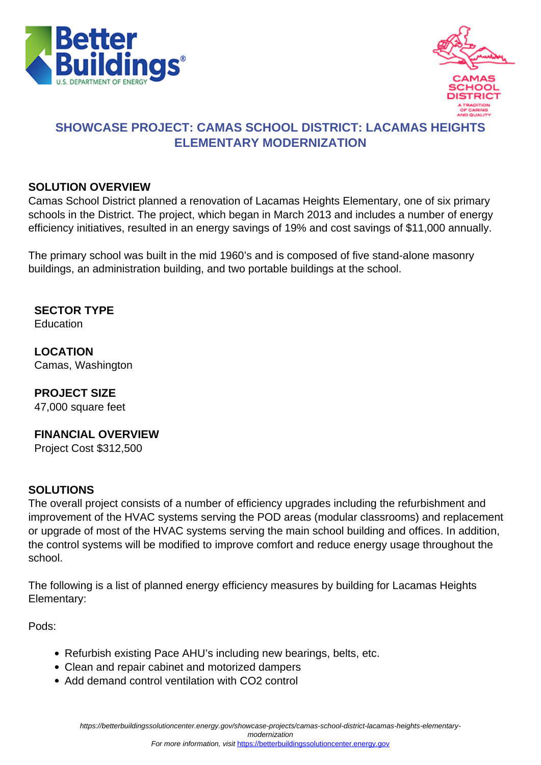



## **SHOWCASE PROJECT: CAMAS SCHOOL DISTRICT: LACAMAS HEIGHTS ELEMENTARY MODERNIZATION**

#### **SOLUTION OVERVIEW**

Camas School District planned a renovation of Lacamas Heights Elementary, one of six primary schools in the District. The project, which began in March 2013 and includes a number of energy efficiency initiatives, resulted in an energy savings of 19% and cost savings of \$11,000 annually.

The primary school was built in the mid 1960's and is composed of five stand-alone masonry buildings, an administration building, and two portable buildings at the school.

**SECTOR TYPE** Education

**LOCATION** Camas, Washington

**PROJECT SIZE**

47,000 square feet

### **FINANCIAL OVERVIEW**

Project Cost \$312,500

#### **SOLUTIONS**

The overall project consists of a number of efficiency upgrades including the refurbishment and improvement of the HVAC systems serving the POD areas (modular classrooms) and replacement or upgrade of most of the HVAC systems serving the main school building and offices. In addition, the control systems will be modified to improve comfort and reduce energy usage throughout the school.

The following is a list of planned energy efficiency measures by building for Lacamas Heights Elementary:

Pods:

- Refurbish existing Pace AHU's including new bearings, belts, etc.
- Clean and repair cabinet and motorized dampers
- Add demand control ventilation with CO2 control

modernization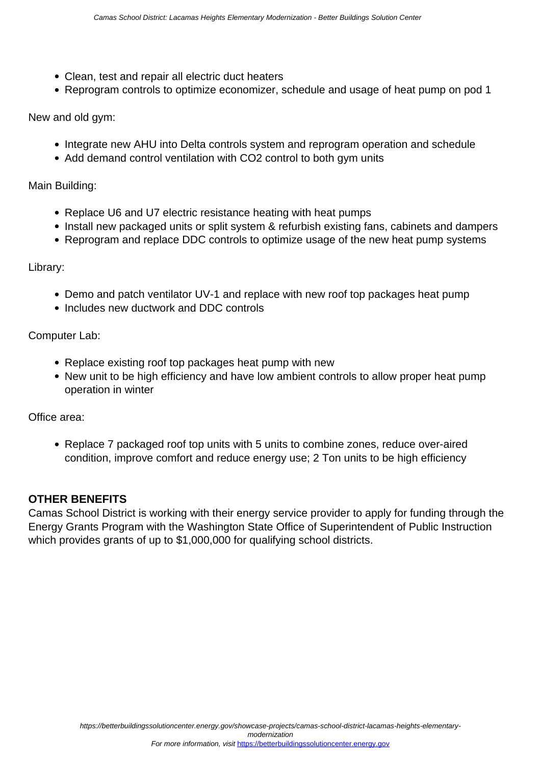- Clean, test and repair all electric duct heaters
- Reprogram controls to optimize economizer, schedule and usage of heat pump on pod 1

New and old gym:

- Integrate new AHU into Delta controls system and reprogram operation and schedule
- Add demand control ventilation with CO2 control to both gym units

Main Building:

- Replace U6 and U7 electric resistance heating with heat pumps
- Install new packaged units or split system & refurbish existing fans, cabinets and dampers
- Reprogram and replace DDC controls to optimize usage of the new heat pump systems

Library:

- Demo and patch ventilator UV-1 and replace with new roof top packages heat pump
- Includes new ductwork and DDC controls

Computer Lab:

- Replace existing roof top packages heat pump with new
- New unit to be high efficiency and have low ambient controls to allow proper heat pump operation in winter

Office area:

Replace 7 packaged roof top units with 5 units to combine zones, reduce over-aired condition, improve comfort and reduce energy use; 2 Ton units to be high efficiency

#### **OTHER BENEFITS**

Camas School District is working with their energy service provider to apply for funding through the Energy Grants Program with the Washington State Office of Superintendent of Public Instruction which provides grants of up to \$1,000,000 for qualifying school districts.